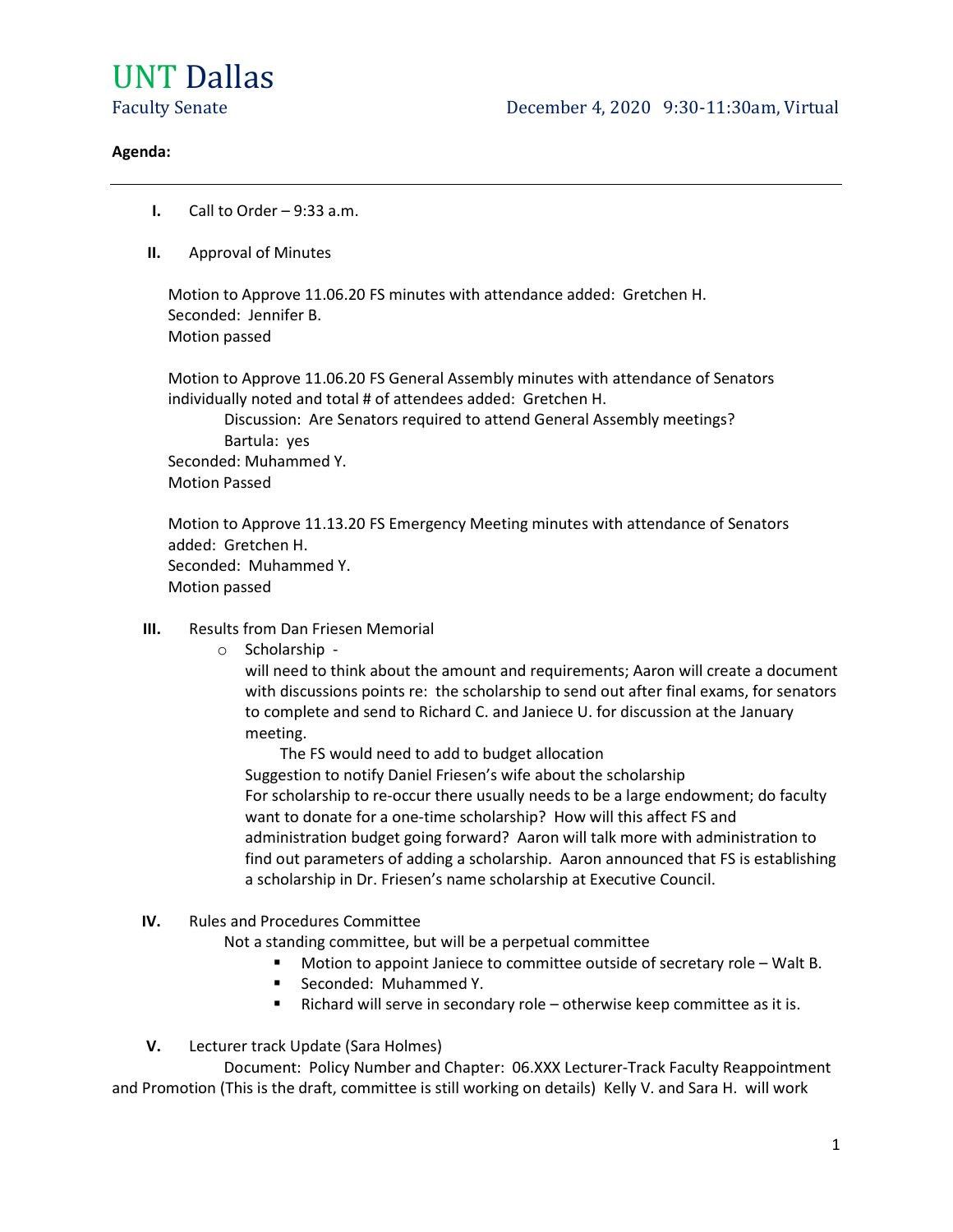

#### Agenda:

- **I.** Call to Order  $-9:33$  a.m.
- II. Approval of Minutes

 Motion to Approve 11.06.20 FS minutes with attendance added: Gretchen H. Seconded: Jennifer B. Motion passed

Motion to Approve 11.06.20 FS General Assembly minutes with attendance of Senators individually noted and total # of attendees added: Gretchen H.

 Discussion: Are Senators required to attend General Assembly meetings? Bartula: yes Seconded: Muhammed Y. Motion Passed

Motion to Approve 11.13.20 FS Emergency Meeting minutes with attendance of Senators added: Gretchen H. Seconded: Muhammed Y. Motion passed

- III. Results from Dan Friesen Memorial
	- o Scholarship -

will need to think about the amount and requirements; Aaron will create a document with discussions points re: the scholarship to send out after final exams, for senators to complete and send to Richard C. and Janiece U. for discussion at the January meeting.

 The FS would need to add to budget allocation Suggestion to notify Daniel Friesen's wife about the scholarship For scholarship to re-occur there usually needs to be a large endowment; do faculty want to donate for a one-time scholarship? How will this affect FS and administration budget going forward? Aaron will talk more with administration to find out parameters of adding a scholarship. Aaron announced that FS is establishing a scholarship in Dr. Friesen's name scholarship at Executive Council.

IV. Rules and Procedures Committee

Not a standing committee, but will be a perpetual committee

- Motion to appoint Janiece to committee outside of secretary role Walt B.
- **Seconded: Muhammed Y.**
- Richard will serve in secondary role otherwise keep committee as it is.
- V. Lecturer track Update (Sara Holmes)

 Document: Policy Number and Chapter: 06.XXX Lecturer-Track Faculty Reappointment and Promotion (This is the draft, committee is still working on details) Kelly V. and Sara H. will work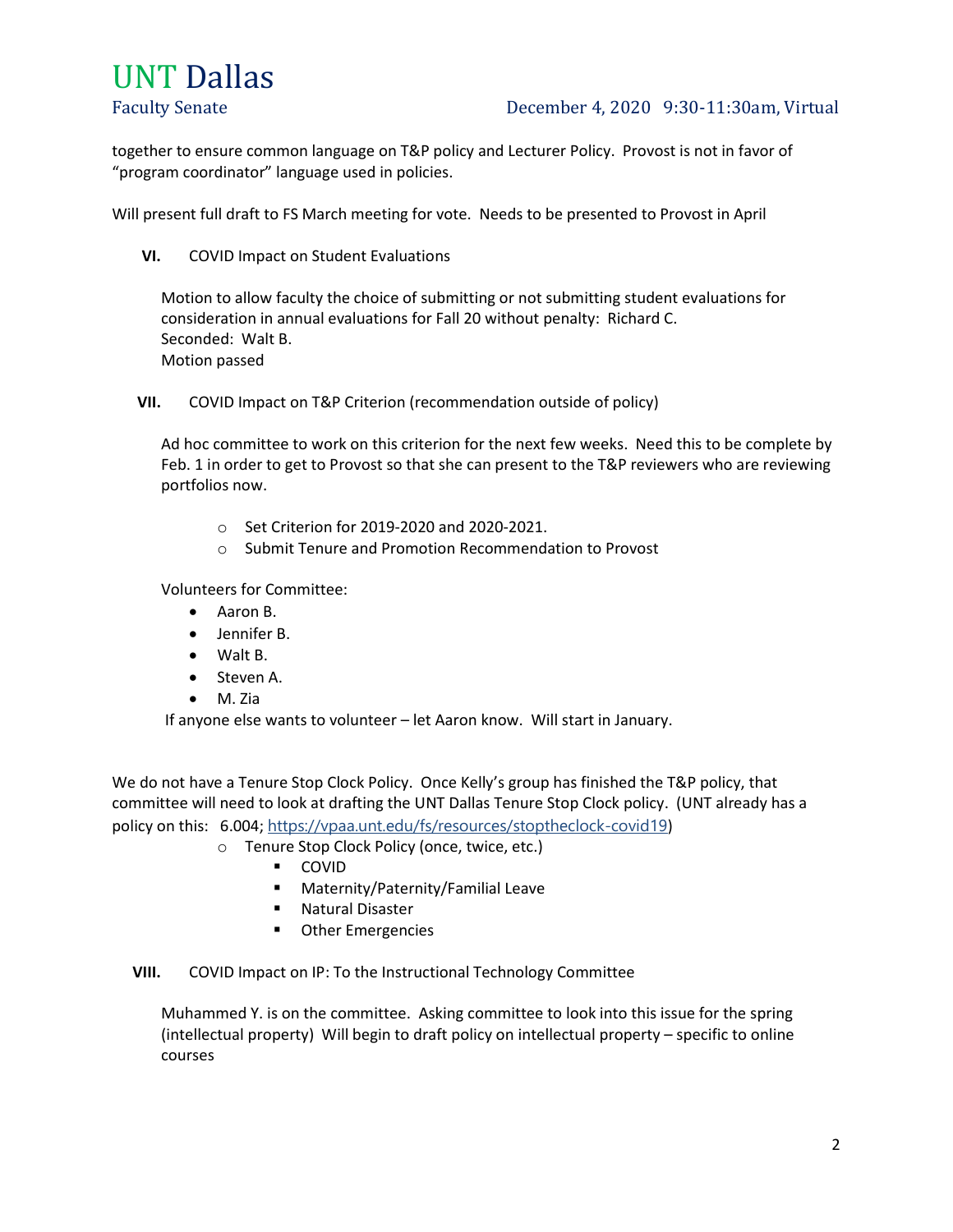### Faculty Senate **December 4, 2020** 9:30-11:30am, Virtual

together to ensure common language on T&P policy and Lecturer Policy. Provost is not in favor of "program coordinator" language used in policies.

Will present full draft to FS March meeting for vote. Needs to be presented to Provost in April

VI. COVID Impact on Student Evaluations

Motion to allow faculty the choice of submitting or not submitting student evaluations for consideration in annual evaluations for Fall 20 without penalty: Richard C. Seconded: Walt B. Motion passed

VII. COVID Impact on T&P Criterion (recommendation outside of policy)

Ad hoc committee to work on this criterion for the next few weeks. Need this to be complete by Feb. 1 in order to get to Provost so that she can present to the T&P reviewers who are reviewing portfolios now.

- o Set Criterion for 2019-2020 and 2020-2021.
- o Submit Tenure and Promotion Recommendation to Provost

Volunteers for Committee:

- Aaron B.
- Jennifer B.
- Walt B.
- Steven A.
- M. Zia

If anyone else wants to volunteer – let Aaron know. Will start in January.

We do not have a Tenure Stop Clock Policy. Once Kelly's group has finished the T&P policy, that committee will need to look at drafting the UNT Dallas Tenure Stop Clock policy. (UNT already has a policy on this: 6.004; https://vpaa.unt.edu/fs/resources/stoptheclock-covid19)

- o Tenure Stop Clock Policy (once, twice, etc.)
	- **COVID**
	- Maternity/Paternity/Familial Leave
	- **Natural Disaster**
	- **•** Other Emergencies

VIII. COVID Impact on IP: To the Instructional Technology Committee

Muhammed Y. is on the committee. Asking committee to look into this issue for the spring (intellectual property) Will begin to draft policy on intellectual property – specific to online courses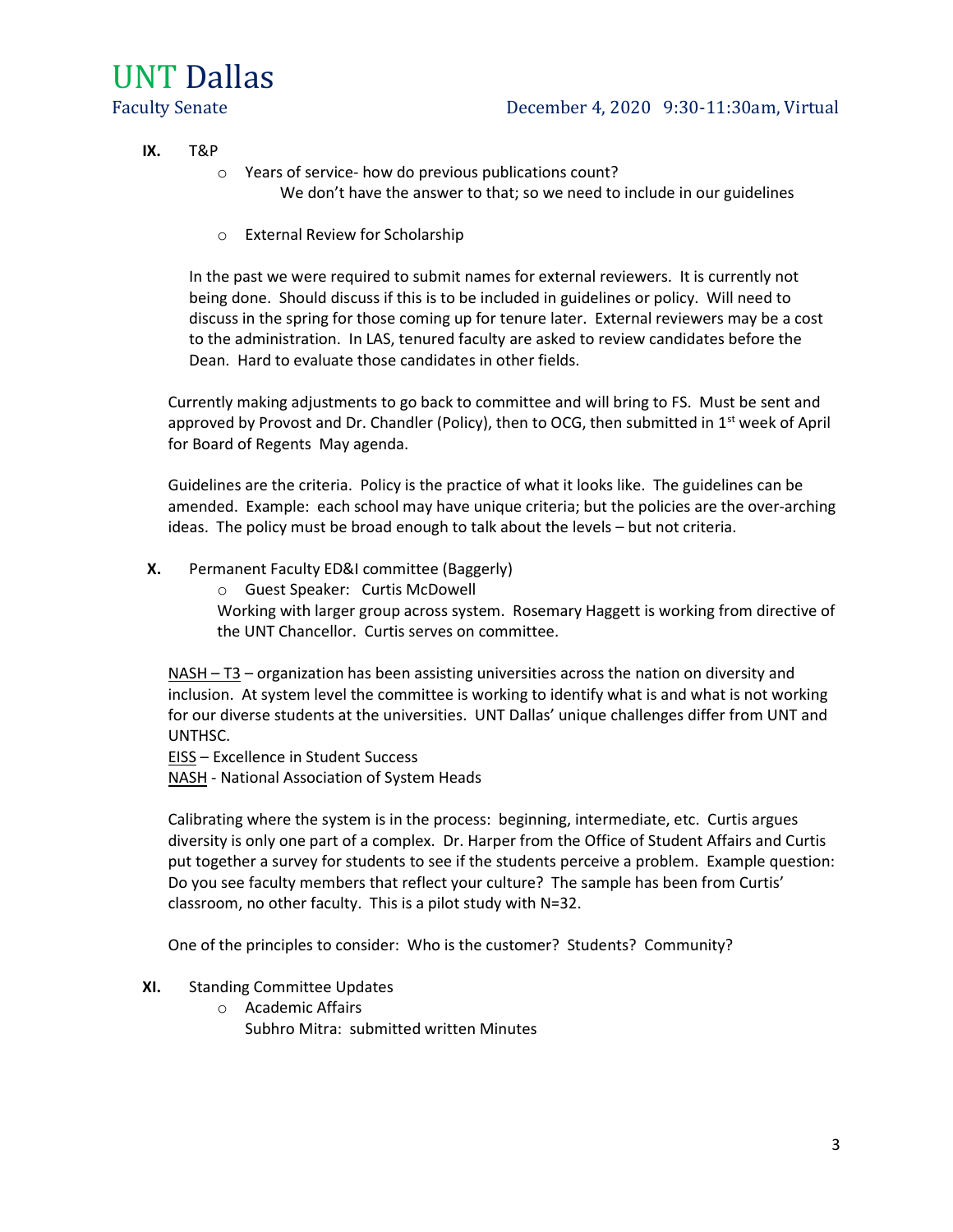IX. T&P

- o Years of service- how do previous publications count? We don't have the answer to that; so we need to include in our guidelines
- o External Review for Scholarship

In the past we were required to submit names for external reviewers. It is currently not being done. Should discuss if this is to be included in guidelines or policy. Will need to discuss in the spring for those coming up for tenure later. External reviewers may be a cost to the administration. In LAS, tenured faculty are asked to review candidates before the Dean. Hard to evaluate those candidates in other fields.

Currently making adjustments to go back to committee and will bring to FS. Must be sent and approved by Provost and Dr. Chandler (Policy), then to OCG, then submitted in  $1<sup>st</sup>$  week of April for Board of Regents May agenda.

Guidelines are the criteria. Policy is the practice of what it looks like. The guidelines can be amended. Example: each school may have unique criteria; but the policies are the over-arching ideas. The policy must be broad enough to talk about the levels – but not criteria.

X. Permanent Faculty ED&I committee (Baggerly)

o Guest Speaker: Curtis McDowell

Working with larger group across system. Rosemary Haggett is working from directive of the UNT Chancellor. Curtis serves on committee.

NASH –  $T3$  – organization has been assisting universities across the nation on diversity and inclusion. At system level the committee is working to identify what is and what is not working for our diverse students at the universities. UNT Dallas' unique challenges differ from UNT and UNTHSC.

EISS – Excellence in Student Success

NASH - National Association of System Heads

Calibrating where the system is in the process: beginning, intermediate, etc. Curtis argues diversity is only one part of a complex. Dr. Harper from the Office of Student Affairs and Curtis put together a survey for students to see if the students perceive a problem. Example question: Do you see faculty members that reflect your culture? The sample has been from Curtis' classroom, no other faculty. This is a pilot study with N=32.

One of the principles to consider: Who is the customer? Students? Community?

#### XI. Standing Committee Updates

o Academic Affairs Subhro Mitra: submitted written Minutes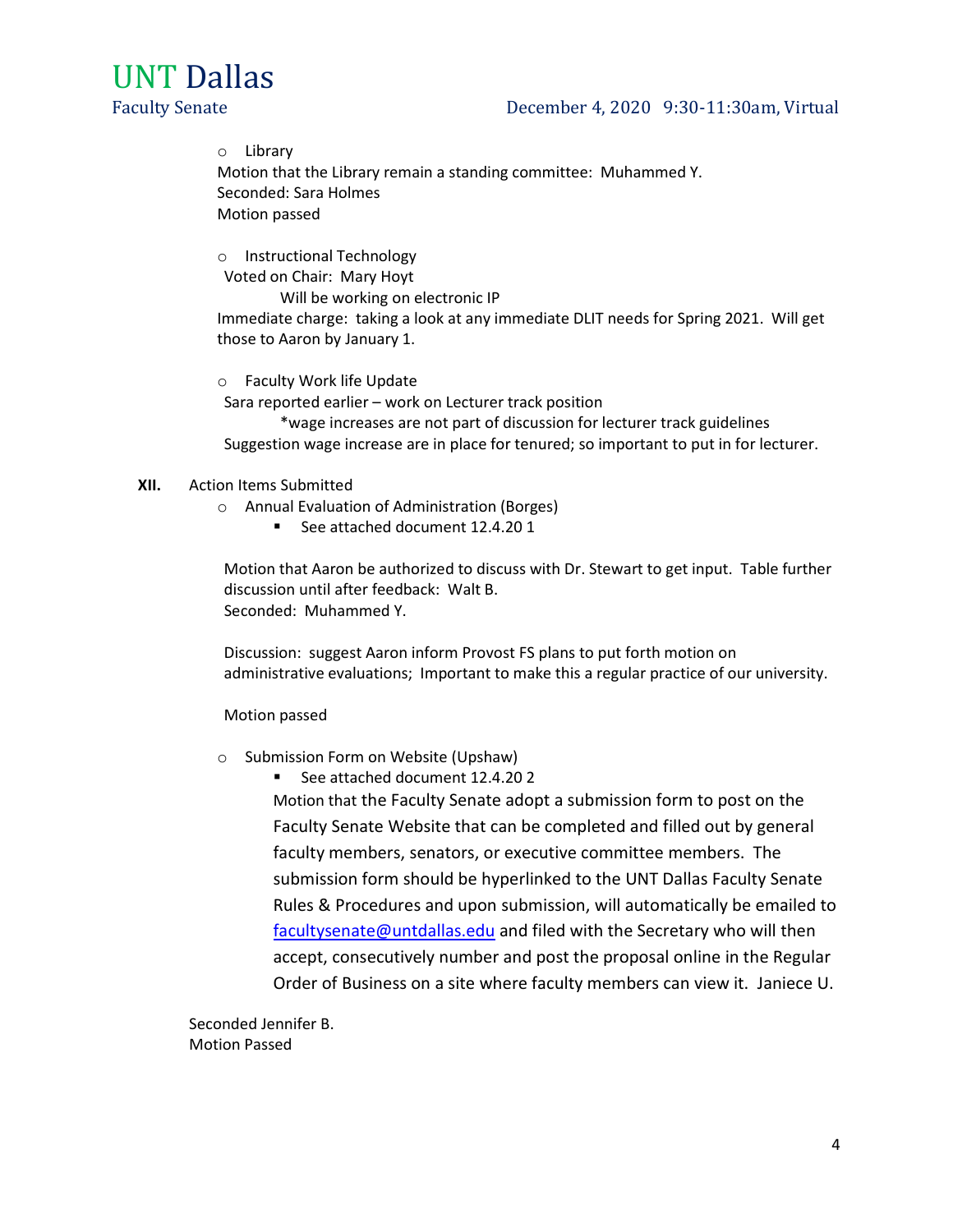### Faculty Senate **December 4, 2020** 9:30-11:30am, Virtual

o Library Motion that the Library remain a standing committee: Muhammed Y. Seconded: Sara Holmes Motion passed

o Instructional Technology Voted on Chair: Mary Hoyt

Will be working on electronic IP

Immediate charge: taking a look at any immediate DLIT needs for Spring 2021. Will get those to Aaron by January 1.

o Faculty Work life Update Sara reported earlier – work on Lecturer track position \*wage increases are not part of discussion for lecturer track guidelines

Suggestion wage increase are in place for tenured; so important to put in for lecturer.

#### XII. Action Items Submitted

- o Annual Evaluation of Administration (Borges)
	- See attached document 12.4.20 1

Motion that Aaron be authorized to discuss with Dr. Stewart to get input. Table further discussion until after feedback: Walt B. Seconded: Muhammed Y.

Discussion: suggest Aaron inform Provost FS plans to put forth motion on administrative evaluations; Important to make this a regular practice of our university.

Motion passed

- o Submission Form on Website (Upshaw)
	- See attached document 12.4.20 2

Motion that the Faculty Senate adopt a submission form to post on the Faculty Senate Website that can be completed and filled out by general faculty members, senators, or executive committee members. The submission form should be hyperlinked to the UNT Dallas Faculty Senate Rules & Procedures and upon submission, will automatically be emailed to facultysenate@untdallas.edu and filed with the Secretary who will then accept, consecutively number and post the proposal online in the Regular Order of Business on a site where faculty members can view it. Janiece U.

Seconded Jennifer B. Motion Passed